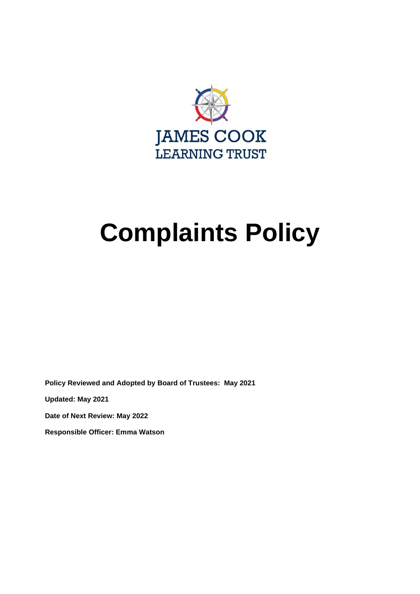

# **Complaints Policy**

**Policy Reviewed and Adopted by Board of Trustees: May 2021** 

**Updated: May 2021** 

**Date of Next Review: May 2022**

**Responsible Officer: Emma Watson**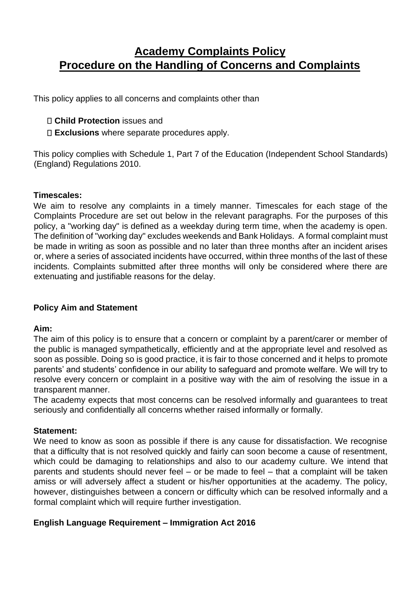# **Academy Complaints Policy Procedure on the Handling of Concerns and Complaints**

This policy applies to all concerns and complaints other than

#### **Child Protection** issues and

**Exclusions** where separate procedures apply.

This policy complies with Schedule 1, Part 7 of the Education (Independent School Standards) (England) Regulations 2010.

#### **Timescales:**

We aim to resolve any complaints in a timely manner. Timescales for each stage of the Complaints Procedure are set out below in the relevant paragraphs. For the purposes of this policy, a "working day" is defined as a weekday during term time, when the academy is open. The definition of "working day" excludes weekends and Bank Holidays. A formal complaint must be made in writing as soon as possible and no later than three months after an incident arises or, where a series of associated incidents have occurred, within three months of the last of these incidents. Complaints submitted after three months will only be considered where there are extenuating and justifiable reasons for the delay.

#### **Policy Aim and Statement**

#### **Aim:**

The aim of this policy is to ensure that a concern or complaint by a parent/carer or member of the public is managed sympathetically, efficiently and at the appropriate level and resolved as soon as possible. Doing so is good practice, it is fair to those concerned and it helps to promote parents' and students' confidence in our ability to safeguard and promote welfare. We will try to resolve every concern or complaint in a positive way with the aim of resolving the issue in a transparent manner.

The academy expects that most concerns can be resolved informally and guarantees to treat seriously and confidentially all concerns whether raised informally or formally.

#### **Statement:**

We need to know as soon as possible if there is any cause for dissatisfaction. We recognise that a difficulty that is not resolved quickly and fairly can soon become a cause of resentment, which could be damaging to relationships and also to our academy culture. We intend that parents and students should never feel – or be made to feel – that a complaint will be taken amiss or will adversely affect a student or his/her opportunities at the academy. The policy, however, distinguishes between a concern or difficulty which can be resolved informally and a formal complaint which will require further investigation.

#### **English Language Requirement – Immigration Act 2016**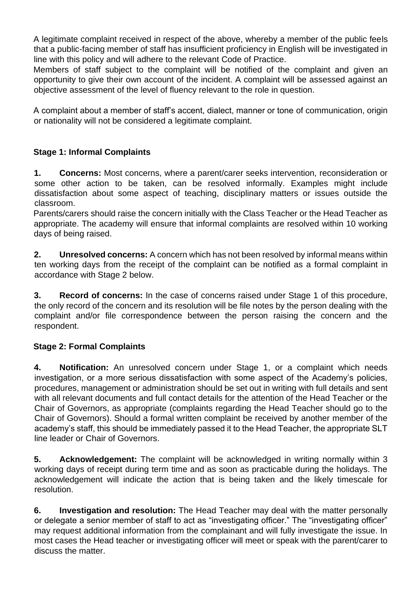A legitimate complaint received in respect of the above, whereby a member of the public feels that a public-facing member of staff has insufficient proficiency in English will be investigated in line with this policy and will adhere to the relevant Code of Practice.

Members of staff subject to the complaint will be notified of the complaint and given an opportunity to give their own account of the incident. A complaint will be assessed against an objective assessment of the level of fluency relevant to the role in question.

A complaint about a member of staff's accent, dialect, manner or tone of communication, origin or nationality will not be considered a legitimate complaint.

## **Stage 1: Informal Complaints**

**1. Concerns:** Most concerns, where a parent/carer seeks intervention, reconsideration or some other action to be taken, can be resolved informally. Examples might include dissatisfaction about some aspect of teaching, disciplinary matters or issues outside the classroom.

Parents/carers should raise the concern initially with the Class Teacher or the Head Teacher as appropriate. The academy will ensure that informal complaints are resolved within 10 working days of being raised.

**2. Unresolved concerns:** A concern which has not been resolved by informal means within ten working days from the receipt of the complaint can be notified as a formal complaint in accordance with Stage 2 below.

**3. Record of concerns:** In the case of concerns raised under Stage 1 of this procedure, the only record of the concern and its resolution will be file notes by the person dealing with the complaint and/or file correspondence between the person raising the concern and the respondent.

#### **Stage 2: Formal Complaints**

**4. Notification:** An unresolved concern under Stage 1, or a complaint which needs investigation, or a more serious dissatisfaction with some aspect of the Academy's policies, procedures, management or administration should be set out in writing with full details and sent with all relevant documents and full contact details for the attention of the Head Teacher or the Chair of Governors, as appropriate (complaints regarding the Head Teacher should go to the Chair of Governors). Should a formal written complaint be received by another member of the academy's staff, this should be immediately passed it to the Head Teacher, the appropriate SLT line leader or Chair of Governors.

**5. Acknowledgement:** The complaint will be acknowledged in writing normally within 3 working days of receipt during term time and as soon as practicable during the holidays. The acknowledgement will indicate the action that is being taken and the likely timescale for resolution.

**6. Investigation and resolution:** The Head Teacher may deal with the matter personally or delegate a senior member of staff to act as "investigating officer." The "investigating officer" may request additional information from the complainant and will fully investigate the issue. In most cases the Head teacher or investigating officer will meet or speak with the parent/carer to discuss the matter.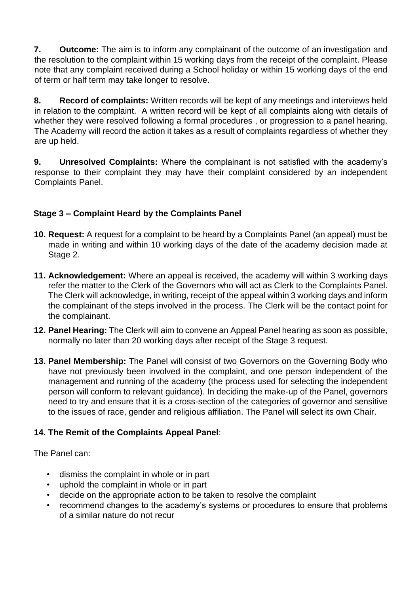**7. Outcome:** The aim is to inform any complainant of the outcome of an investigation and the resolution to the complaint within 15 working days from the receipt of the complaint. Please note that any complaint received during a School holiday or within 15 working days of the end of term or half term may take longer to resolve.

**8. Record of complaints:** Written records will be kept of any meetings and interviews held in relation to the complaint. A written record will be kept of all complaints along with details of whether they were resolved following a formal procedures , or progression to a panel hearing. The Academy will record the action it takes as a result of complaints regardless of whether they are up held.

**9. Unresolved Complaints:** Where the complainant is not satisfied with the academy's response to their complaint they may have their complaint considered by an independent Complaints Panel.

# **Stage 3 – Complaint Heard by the Complaints Panel**

- **10. Request:** A request for a complaint to be heard by a Complaints Panel (an appeal) must be made in writing and within 10 working days of the date of the academy decision made at Stage 2.
- **11. Acknowledgement:** Where an appeal is received, the academy will within 3 working days refer the matter to the Clerk of the Governors who will act as Clerk to the Complaints Panel. The Clerk will acknowledge, in writing, receipt of the appeal within 3 working days and inform the complainant of the steps involved in the process. The Clerk will be the contact point for the complainant.
- **12. Panel Hearing:** The Clerk will aim to convene an Appeal Panel hearing as soon as possible, normally no later than 20 working days after receipt of the Stage 3 request.
- **13. Panel Membership:** The Panel will consist of two Governors on the Governing Body who have not previously been involved in the complaint, and one person independent of the management and running of the academy (the process used for selecting the independent person will conform to relevant guidance). In deciding the make-up of the Panel, governors need to try and ensure that it is a cross-section of the categories of governor and sensitive to the issues of race, gender and religious affiliation. The Panel will select its own Chair.

## **14. The Remit of the Complaints Appeal Panel**:

The Panel can:

- dismiss the complaint in whole or in part
- uphold the complaint in whole or in part
- decide on the appropriate action to be taken to resolve the complaint
- recommend changes to the academy's systems or procedures to ensure that problems of a similar nature do not recur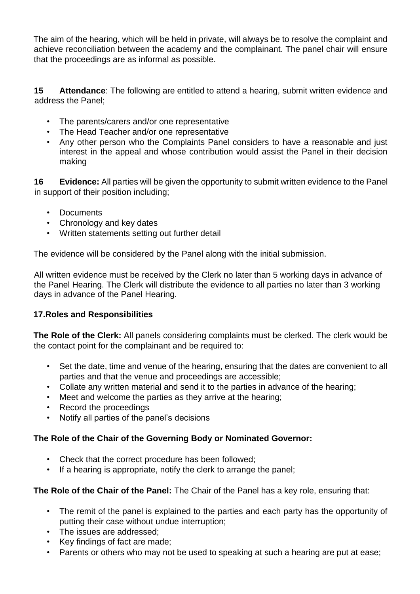The aim of the hearing, which will be held in private, will always be to resolve the complaint and achieve reconciliation between the academy and the complainant. The panel chair will ensure that the proceedings are as informal as possible.

**15 Attendance**: The following are entitled to attend a hearing, submit written evidence and address the Panel;

- The parents/carers and/or one representative
- The Head Teacher and/or one representative
- Any other person who the Complaints Panel considers to have a reasonable and just interest in the appeal and whose contribution would assist the Panel in their decision making

**16 Evidence:** All parties will be given the opportunity to submit written evidence to the Panel in support of their position including;

- Documents
- Chronology and key dates
- Written statements setting out further detail

The evidence will be considered by the Panel along with the initial submission.

All written evidence must be received by the Clerk no later than 5 working days in advance of the Panel Hearing. The Clerk will distribute the evidence to all parties no later than 3 working days in advance of the Panel Hearing.

#### **17.Roles and Responsibilities**

**The Role of the Clerk:** All panels considering complaints must be clerked. The clerk would be the contact point for the complainant and be required to:

- Set the date, time and venue of the hearing, ensuring that the dates are convenient to all parties and that the venue and proceedings are accessible;
- Collate any written material and send it to the parties in advance of the hearing;
- Meet and welcome the parties as they arrive at the hearing;
- Record the proceedings
- Notify all parties of the panel's decisions

## **The Role of the Chair of the Governing Body or Nominated Governor:**

- Check that the correct procedure has been followed;
- If a hearing is appropriate, notify the clerk to arrange the panel;

#### **The Role of the Chair of the Panel:** The Chair of the Panel has a key role, ensuring that:

- The remit of the panel is explained to the parties and each party has the opportunity of putting their case without undue interruption;
- The issues are addressed;
- Key findings of fact are made;
- Parents or others who may not be used to speaking at such a hearing are put at ease;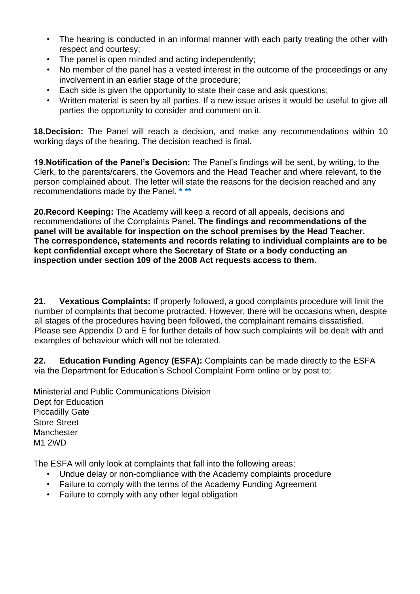- The hearing is conducted in an informal manner with each party treating the other with respect and courtesy;
- The panel is open minded and acting independently;
- No member of the panel has a vested interest in the outcome of the proceedings or any involvement in an earlier stage of the procedure;
- Each side is given the opportunity to state their case and ask questions;
- Written material is seen by all parties. If a new issue arises it would be useful to give all parties the opportunity to consider and comment on it.

**18.Decision:** The Panel will reach a decision, and make any recommendations within 10 working days of the hearing. The decision reached is final**.** 

**19.Notification of the Panel's Decision:** The Panel's findings will be sent, by writing, to the Clerk, to the parents/carers, the Governors and the Head Teacher and where relevant, to the person complained about. The letter will state the reasons for the decision reached and any recommendations made by the Panel**. \* \*\*** 

**20.Record Keeping:** The Academy will keep a record of all appeals, decisions and recommendations of the Complaints Panel**. The findings and recommendations of the panel will be available for inspection on the school premises by the Head Teacher. The correspondence, statements and records relating to individual complaints are to be kept confidential except where the Secretary of State or a body conducting an inspection under section 109 of the 2008 Act requests access to them.** 

**21. Vexatious Complaints:** If properly followed, a good complaints procedure will limit the number of complaints that become protracted. However, there will be occasions when, despite all stages of the procedures having been followed, the complainant remains dissatisfied. Please see Appendix D and E for further details of how such complaints will be dealt with and examples of behaviour which will not be tolerated.

**22. Education Funding Agency (ESFA):** Complaints can be made directly to the ESFA via the Department for Education's School Complaint Form online or by post to;

Ministerial and Public Communications Division Dept for Education Piccadilly Gate Store Street **Manchester** M1 2WD

The ESFA will only look at complaints that fall into the following areas;

- Undue delay or non-compliance with the Academy complaints procedure
- Failure to comply with the terms of the Academy Funding Agreement
- Failure to comply with any other legal obligation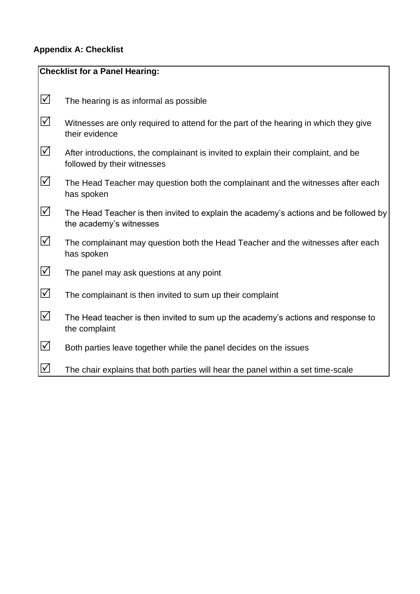# **Appendix A: Checklist**

| <b>Checklist for a Panel Hearing:</b> |                                                                                                                   |
|---------------------------------------|-------------------------------------------------------------------------------------------------------------------|
|                                       |                                                                                                                   |
| $\Delta$                              | The hearing is as informal as possible                                                                            |
| $\Delta$                              | Witnesses are only required to attend for the part of the hearing in which they give<br>their evidence            |
| $\Delta$                              | After introductions, the complainant is invited to explain their complaint, and be<br>followed by their witnesses |
| $\Delta$                              | The Head Teacher may question both the complainant and the witnesses after each<br>has spoken                     |
| $\Delta$                              | The Head Teacher is then invited to explain the academy's actions and be followed by<br>the academy's witnesses   |
| $\Delta$                              | The complainant may question both the Head Teacher and the witnesses after each<br>has spoken                     |
| $\Delta$                              | The panel may ask questions at any point                                                                          |
| $\Delta$                              | The complainant is then invited to sum up their complaint                                                         |
| $\Delta$                              | The Head teacher is then invited to sum up the academy's actions and response to<br>the complaint                 |
| $\Delta$                              | Both parties leave together while the panel decides on the issues                                                 |
| $\Delta$                              | The chair explains that both parties will hear the panel within a set time-scale                                  |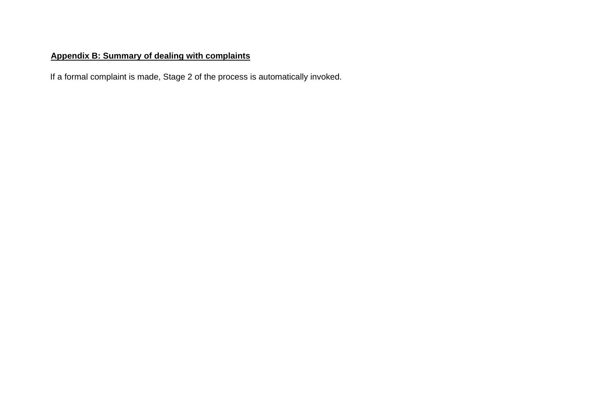# **Appendix B: Summary of dealing with complaints**

If a formal complaint is made, Stage 2 of the process is automatically invoked.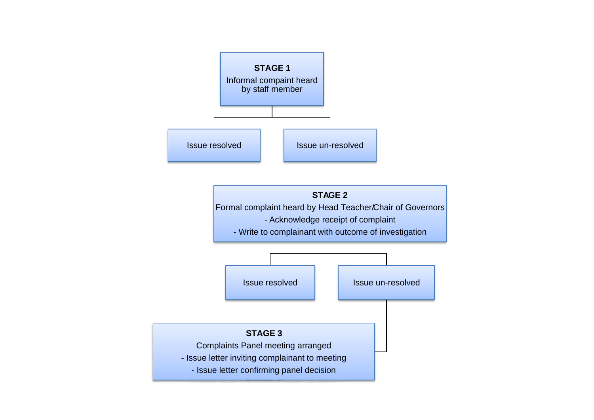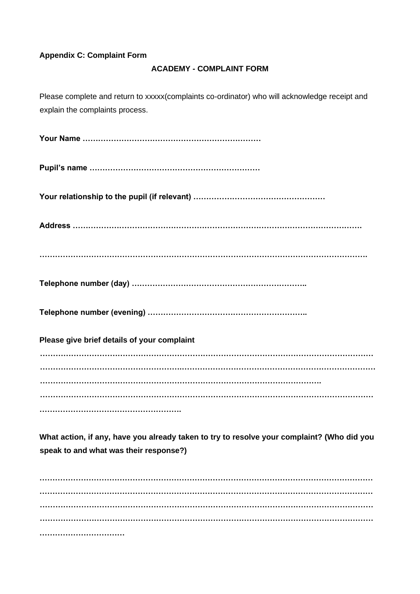#### **Appendix C: Complaint Form**

#### **ACADEMY - COMPLAINT FORM**

Please complete and return to xxxxx(complaints co-ordinator) who will acknowledge receipt and explain the complaints process.

**Your Name …………………………………………………………… Pupil's name ………………………………………………………… Your relationship to the pupil (if relevant) …………………………………………… Address …………………………………………………………………………………………………. ………………………………………………………………………………………………………………. Telephone number (day) ………………………………………………………….. Telephone number (evening) …………………………………………………….. Please give brief details of your complaint ………………………………………………………………………………………………………………… ……………………………………………….………………………………………………………………… ………………………………………………………………………………………………. ………………………………………………………………………………………………………………… ……………………………………………….** 

**What action, if any, have you already taken to try to resolve your complaint? (Who did you speak to and what was their response?)** 

**………………………………………………………………………………………………………………… ………………………………………………………………………………………………………………… ………………………………………………………………………………………………………………… ………………………………………………………………………………………………………………… ……………………………**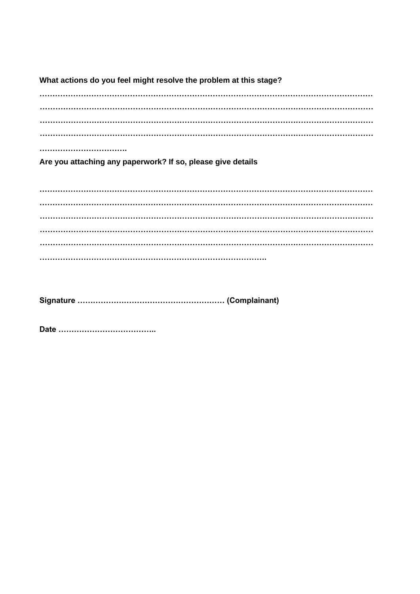What actions do you feel might resolve the problem at this stage? ................................. Are you attaching any paperwork? If so, please give details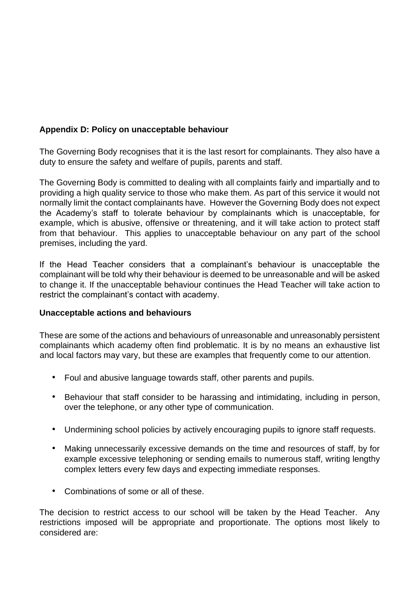#### **Appendix D: Policy on unacceptable behaviour**

The Governing Body recognises that it is the last resort for complainants. They also have a duty to ensure the safety and welfare of pupils, parents and staff.

The Governing Body is committed to dealing with all complaints fairly and impartially and to providing a high quality service to those who make them. As part of this service it would not normally limit the contact complainants have. However the Governing Body does not expect the Academy's staff to tolerate behaviour by complainants which is unacceptable, for example, which is abusive, offensive or threatening, and it will take action to protect staff from that behaviour. This applies to unacceptable behaviour on any part of the school premises, including the yard.

If the Head Teacher considers that a complainant's behaviour is unacceptable the complainant will be told why their behaviour is deemed to be unreasonable and will be asked to change it. If the unacceptable behaviour continues the Head Teacher will take action to restrict the complainant's contact with academy.

#### **Unacceptable actions and behaviours**

These are some of the actions and behaviours of unreasonable and unreasonably persistent complainants which academy often find problematic. It is by no means an exhaustive list and local factors may vary, but these are examples that frequently come to our attention.

- Foul and abusive language towards staff, other parents and pupils.
- Behaviour that staff consider to be harassing and intimidating, including in person, over the telephone, or any other type of communication.
- Undermining school policies by actively encouraging pupils to ignore staff requests.
- Making unnecessarily excessive demands on the time and resources of staff, by for example excessive telephoning or sending emails to numerous staff, writing lengthy complex letters every few days and expecting immediate responses.
- Combinations of some or all of these.

The decision to restrict access to our school will be taken by the Head Teacher. Any restrictions imposed will be appropriate and proportionate. The options most likely to considered are: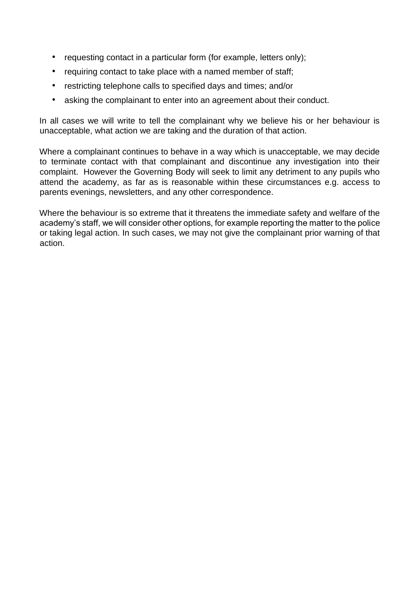- requesting contact in a particular form (for example, letters only);
- requiring contact to take place with a named member of staff;
- restricting telephone calls to specified days and times; and/or
- asking the complainant to enter into an agreement about their conduct.

In all cases we will write to tell the complainant why we believe his or her behaviour is unacceptable, what action we are taking and the duration of that action.

Where a complainant continues to behave in a way which is unacceptable, we may decide to terminate contact with that complainant and discontinue any investigation into their complaint. However the Governing Body will seek to limit any detriment to any pupils who attend the academy, as far as is reasonable within these circumstances e.g. access to parents evenings, newsletters, and any other correspondence.

Where the behaviour is so extreme that it threatens the immediate safety and welfare of the academy's staff, we will consider other options, for example reporting the matter to the police or taking legal action. In such cases, we may not give the complainant prior warning of that action.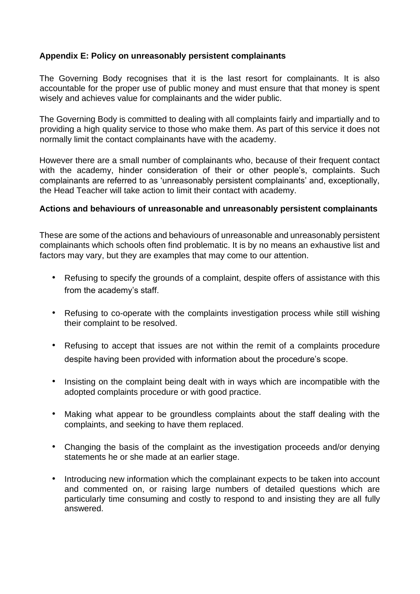#### **Appendix E: Policy on unreasonably persistent complainants**

The Governing Body recognises that it is the last resort for complainants. It is also accountable for the proper use of public money and must ensure that that money is spent wisely and achieves value for complainants and the wider public.

The Governing Body is committed to dealing with all complaints fairly and impartially and to providing a high quality service to those who make them. As part of this service it does not normally limit the contact complainants have with the academy.

However there are a small number of complainants who, because of their frequent contact with the academy, hinder consideration of their or other people's, complaints. Such complainants are referred to as 'unreasonably persistent complainants' and, exceptionally, the Head Teacher will take action to limit their contact with academy.

#### **Actions and behaviours of unreasonable and unreasonably persistent complainants**

These are some of the actions and behaviours of unreasonable and unreasonably persistent complainants which schools often find problematic. It is by no means an exhaustive list and factors may vary, but they are examples that may come to our attention.

- Refusing to specify the grounds of a complaint, despite offers of assistance with this from the academy's staff.
- Refusing to co-operate with the complaints investigation process while still wishing their complaint to be resolved.
- Refusing to accept that issues are not within the remit of a complaints procedure despite having been provided with information about the procedure's scope.
- Insisting on the complaint being dealt with in ways which are incompatible with the adopted complaints procedure or with good practice.
- Making what appear to be groundless complaints about the staff dealing with the complaints, and seeking to have them replaced.
- Changing the basis of the complaint as the investigation proceeds and/or denying statements he or she made at an earlier stage.
- Introducing new information which the complainant expects to be taken into account and commented on, or raising large numbers of detailed questions which are particularly time consuming and costly to respond to and insisting they are all fully answered.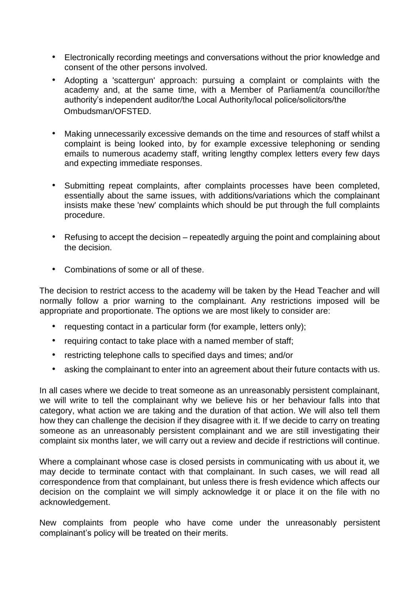- Electronically recording meetings and conversations without the prior knowledge and consent of the other persons involved.
- Adopting a 'scattergun' approach: pursuing a complaint or complaints with the academy and, at the same time, with a Member of Parliament/a councillor/the authority's independent auditor/the Local Authority/local police/solicitors/the Ombudsman/OFSTED.
- Making unnecessarily excessive demands on the time and resources of staff whilst a complaint is being looked into, by for example excessive telephoning or sending emails to numerous academy staff, writing lengthy complex letters every few days and expecting immediate responses.
- Submitting repeat complaints, after complaints processes have been completed, essentially about the same issues, with additions/variations which the complainant insists make these 'new' complaints which should be put through the full complaints procedure.
- Refusing to accept the decision repeatedly arguing the point and complaining about the decision.
- Combinations of some or all of these.

The decision to restrict access to the academy will be taken by the Head Teacher and will normally follow a prior warning to the complainant. Any restrictions imposed will be appropriate and proportionate. The options we are most likely to consider are:

- requesting contact in a particular form (for example, letters only);
- requiring contact to take place with a named member of staff;
- restricting telephone calls to specified days and times; and/or
- asking the complainant to enter into an agreement about their future contacts with us.

In all cases where we decide to treat someone as an unreasonably persistent complainant, we will write to tell the complainant why we believe his or her behaviour falls into that category, what action we are taking and the duration of that action. We will also tell them how they can challenge the decision if they disagree with it. If we decide to carry on treating someone as an unreasonably persistent complainant and we are still investigating their complaint six months later, we will carry out a review and decide if restrictions will continue.

Where a complainant whose case is closed persists in communicating with us about it, we may decide to terminate contact with that complainant. In such cases, we will read all correspondence from that complainant, but unless there is fresh evidence which affects our decision on the complaint we will simply acknowledge it or place it on the file with no acknowledgement.

New complaints from people who have come under the unreasonably persistent complainant's policy will be treated on their merits.